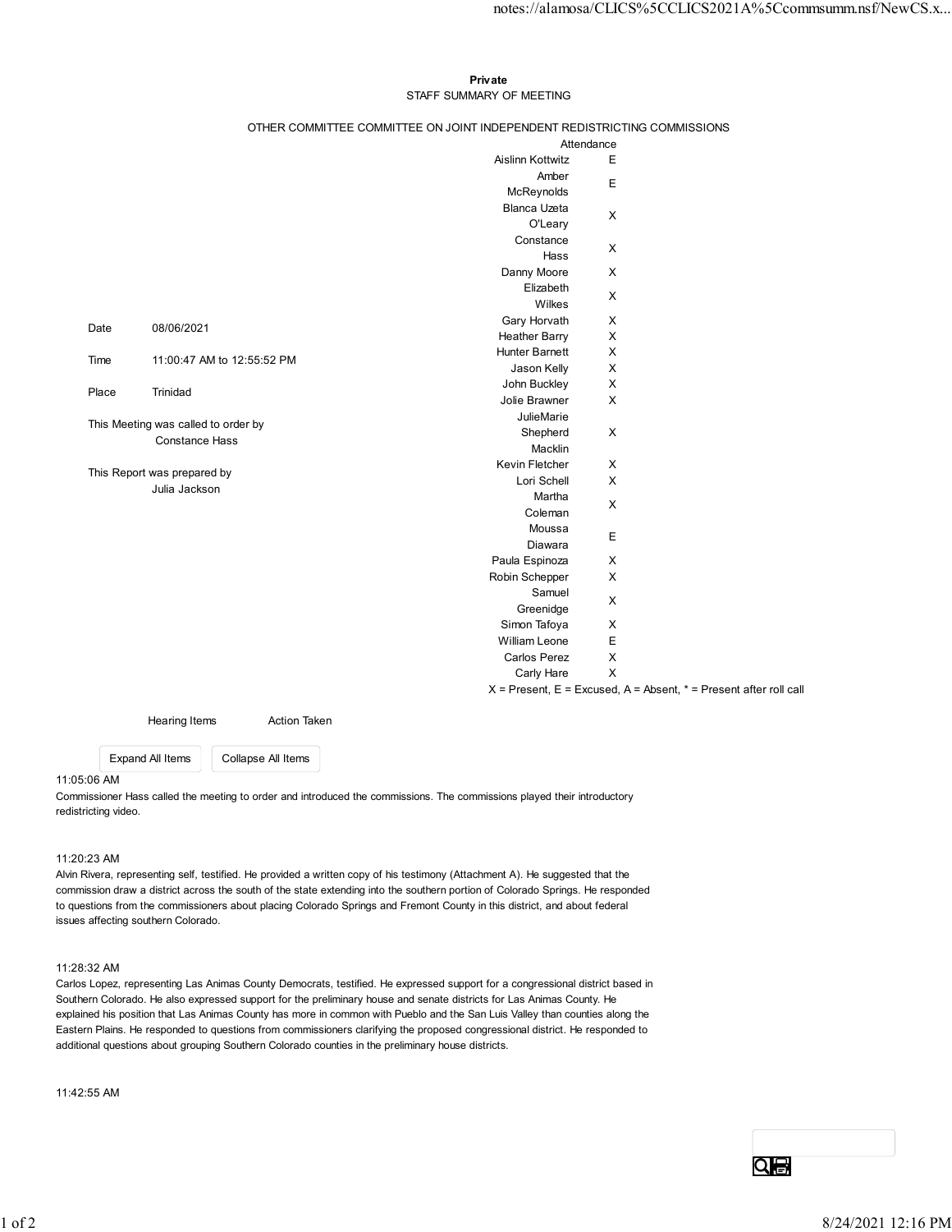## Private **Private** and *Private* and *Private* and *Private* and *Private* and *Private* and *Private* and *Private* and *Private* and *Private* and *Private* and *Private* and *Private* and *Private* and *Private* and *Pri* STAFF SUMMARY OF MEETING

|                                                              |               |                            |                                                                                                                      |                                          | notes://alamosa/CLICS%5CCLICS2021A%5Ccommsumm.nsf/NewCS.x             |
|--------------------------------------------------------------|---------------|----------------------------|----------------------------------------------------------------------------------------------------------------------|------------------------------------------|-----------------------------------------------------------------------|
|                                                              |               |                            |                                                                                                                      |                                          |                                                                       |
|                                                              |               |                            | Private                                                                                                              |                                          |                                                                       |
| STAFF SUMMARY OF MEETING                                     |               |                            |                                                                                                                      |                                          |                                                                       |
|                                                              |               |                            | OTHER COMMITTEE COMMITTEE ON JOINT INDEPENDENT REDISTRICTING COMMISSIONS                                             |                                          |                                                                       |
|                                                              |               |                            |                                                                                                                      | Attendance                               |                                                                       |
|                                                              |               |                            | Aislinn Kottwitz<br>Amber                                                                                            | Е                                        |                                                                       |
|                                                              |               |                            | McReynolds                                                                                                           | $\mathsf E$                              |                                                                       |
|                                                              |               |                            | Blanca Uzeta                                                                                                         | $\mathsf{X}$                             |                                                                       |
|                                                              |               |                            | O'Leary<br>Constance                                                                                                 |                                          |                                                                       |
|                                                              |               |                            | Hass                                                                                                                 | $\mathsf{X}$                             |                                                                       |
|                                                              |               |                            | Danny Moore                                                                                                          | $\mathsf{X}$                             |                                                                       |
|                                                              |               |                            | Elizabeth<br>Wilkes                                                                                                  | X                                        |                                                                       |
| Date                                                         | 08/06/2021    |                            | Gary Horvath                                                                                                         | $\mathsf{X}$                             |                                                                       |
|                                                              |               |                            | <b>Heather Barry</b><br>Hunter Barnett                                                                               | $\mathsf X$<br>$\boldsymbol{\mathsf{X}}$ |                                                                       |
| Time                                                         |               | 11:00:47 AM to 12:55:52 PM | Jason Kelly                                                                                                          | $\boldsymbol{\mathsf{X}}$                |                                                                       |
| Place                                                        | Trinidad      |                            | John Buckley                                                                                                         | $\mathsf{X}$                             |                                                                       |
|                                                              |               |                            | Jolie Brawner<br>JulieMarie                                                                                          | $\mathsf X$                              |                                                                       |
| This Meeting was called to order by<br><b>Constance Hass</b> |               |                            | Shepherd                                                                                                             | $\mathsf{X}$                             |                                                                       |
|                                                              |               |                            | Macklin                                                                                                              |                                          |                                                                       |
| This Report was prepared by                                  |               |                            | Kevin Fletcher<br>Lori Schell                                                                                        | X<br>$\boldsymbol{\mathsf{X}}$           |                                                                       |
|                                                              | Julia Jackson |                            | Martha                                                                                                               |                                          |                                                                       |
|                                                              |               |                            | Coleman                                                                                                              | $\boldsymbol{\mathsf{X}}$                |                                                                       |
|                                                              |               |                            | Moussa<br>Diawara                                                                                                    | E                                        |                                                                       |
|                                                              |               |                            | Paula Espinoza                                                                                                       | X                                        |                                                                       |
|                                                              |               |                            | Robin Schepper                                                                                                       | $\mathsf X$                              |                                                                       |
|                                                              |               |                            | Samuel<br>Greenidge                                                                                                  | $\mathsf X$                              |                                                                       |
|                                                              |               |                            | Simon Tafoya                                                                                                         | $\mathsf X$                              |                                                                       |
|                                                              |               |                            | William Leone                                                                                                        | E                                        |                                                                       |
|                                                              |               |                            | <b>Carlos Perez</b><br>Carly Hare                                                                                    | $\boldsymbol{\mathsf{X}}$<br>$\mathsf X$ |                                                                       |
|                                                              |               |                            |                                                                                                                      |                                          | $X$ = Present, E = Excused, A = Absent, $*$ = Present after roll call |
|                                                              | Hearing Items | <b>Action Taken</b>        |                                                                                                                      |                                          |                                                                       |
|                                                              |               |                            |                                                                                                                      |                                          |                                                                       |
| Expand All Items<br>5:06 AM                                  |               | Collapse All Items         |                                                                                                                      |                                          |                                                                       |
|                                                              |               |                            | missioner Hass called the meeting to order and introduced the commissions. The commissions played their introductory |                                          |                                                                       |
| tricting video.                                              |               |                            |                                                                                                                      |                                          |                                                                       |

# 11:05:06 AM

# 11:20:23 AM

Alvin Rivera, representing self, testified. He provided a written copy of his testimony (Attachment A). He suggested that the commission draw a district across the south of the state extending into the southern portion of Colorado Springs. He responded to questions from the commissioners about placing Colorado Springs and Fremont County in this district, and about federal issues affecting southern Colorado.

# 11:28:32 AM

Carlos Lopez, representing Las Animas County Democrats, testified. He expressed support for a congressional district based in Southern Colorado. He also expressed support for the preliminary house and senate districts for Las Animas County. He explained his position that Las Animas County has more in common with Pueblo and the San Luis Valley than counties along the Eastern Plains. He responded to questions from commissioners clarifying the proposed congressional district. He responded to additional questions about grouping Southern Colorado counties in the preliminary house districts.

11:42:55 AM

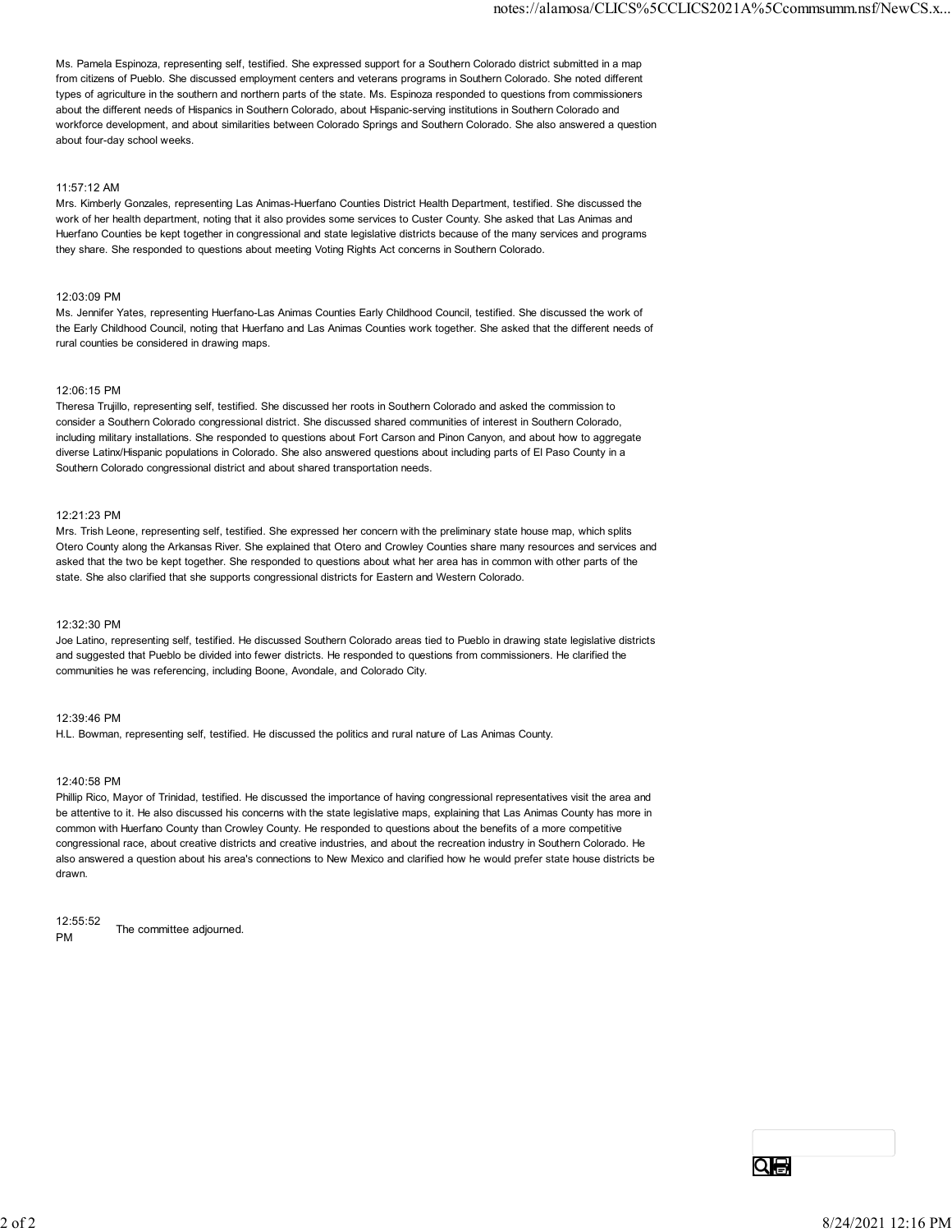Ms. Pamela Espinoza, representing self, testified. She expressed support for a Southern Colorado district submitted in a map from citizens of Pueblo. She discussed employment centers and veterans programs in Southern Colorado. She noted different types of agriculture in the southern and northern parts of the state. Ms. Espinoza responded to questions from commissioners about the different needs of Hispanics in Southern Colorado, about Hispanic-serving institutions in Southern Colorado and workforce development, and about similarities between Colorado Springs and Southern Colorado. She also answered a question about four-day school weeks.

### 11:57:12 AM

Mrs. Kimberly Gonzales, representing Las Animas-Huerfano Counties District Health Department, testified. She discussed the work of her health department, noting that it also provides some services to Custer County. She asked that Las Animas and Huerfano Counties be kept together in congressional and state legislative districts because of the many services and programs they share. She responded to questions about meeting Voting Rights Act concerns in Southern Colorado.

#### 12:03:09 PM

Ms. Jennifer Yates, representing Huerfano-Las Animas Counties Early Childhood Council, testified. She discussed the work of the Early Childhood Council, noting that Huerfano and Las Animas Counties work together. She asked that the different needs of rural counties be considered in drawing maps.

#### 12:06:15 PM

Theresa Trujillo, representing self, testified. She discussed her roots in Southern Colorado and asked the commission to consider a Southern Colorado congressional district. She discussed shared communities of interest in Southern Colorado, including military installations. She responded to questions about Fort Carson and Pinon Canyon, and about how to aggregate diverse Latinx/Hispanic populations in Colorado. She also answered questions about including parts of El Paso County in a Southern Colorado congressional district and about shared transportation needs.

#### 12:21:23 PM

Mrs. Trish Leone, representing self, testified. She expressed her concern with the preliminary state house map, which splits Otero County along the Arkansas River. She explained that Otero and Crowley Counties share many resources and services and asked that the two be kept together. She responded to questions about what her area has in common with other parts of the state. She also clarified that she supports congressional districts for Eastern and Western Colorado.

### 12:32:30 PM

Joe Latino, representing self, testified. He discussed Southern Colorado areas tied to Pueblo in drawing state legislative districts and suggested that Pueblo be divided into fewer districts. He responded to questions from commissioners. He clarified the communities he was referencing, including Boone, Avondale, and Colorado City.

#### 12:39:46 PM

H.L. Bowman, representing self, testified. He discussed the politics and rural nature of Las Animas County.

#### 12:40:58 PM

Phillip Rico, Mayor of Trinidad, testified. He discussed the importance of having congressional representatives visit the area and be attentive to it. He also discussed his concerns with the state legislative maps, explaining that Las Animas County has more in common with Huerfano County than Crowley County. He responded to questions about the benefits of a more competitive congressional race, about creative districts and creative industries, and about the recreation industry in Southern Colorado. He also answered a question about his area's connections to New Mexico and clarified how he would prefer state house districts be drawn.

12:55:52 PM The committee adjourned.

Qe